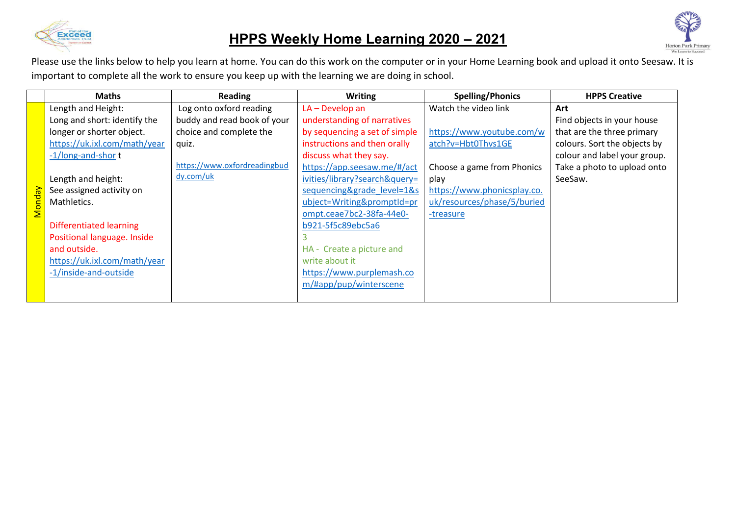

## **HPPS Weekly Home Learning 2020 – 2021**



|               | <b>Maths</b>                   | Reading                      | <b>Writing</b>                | <b>Spelling/Phonics</b>     | <b>HPPS Creative</b>         |
|---------------|--------------------------------|------------------------------|-------------------------------|-----------------------------|------------------------------|
|               | Length and Height:             | Log onto oxford reading      | $LA - Develop$ an             | Watch the video link        | Art                          |
|               | Long and short: identify the   | buddy and read book of your  | understanding of narratives   |                             | Find objects in your house   |
|               | longer or shorter object.      | choice and complete the      | by sequencing a set of simple | https://www.youtube.com/w   | that are the three primary   |
|               | https://uk.ixl.com/math/year   | quiz.                        | instructions and then orally  | atch?v=Hbt0Thvs1GE          | colours. Sort the objects by |
|               | -1/long-and-short              |                              | discuss what they say.        |                             | colour and label your group. |
|               |                                | https://www.oxfordreadingbud | https://app.seesaw.me/#/act   | Choose a game from Phonics  | Take a photo to upload onto  |
|               | Length and height:             | dy.com/uk                    | ivities/library?search&query= | play                        | SeeSaw.                      |
|               | See assigned activity on       |                              | sequencing&grade_level=1&s    | https://www.phonicsplay.co. |                              |
| <b>Monday</b> | Mathletics.                    |                              | ubject=Writing&promptId=pr    | uk/resources/phase/5/buried |                              |
|               |                                |                              | ompt.ceae7bc2-38fa-44e0-      | -treasure                   |                              |
|               | <b>Differentiated learning</b> |                              | b921-5f5c89ebc5a6             |                             |                              |
|               | Positional language. Inside    |                              |                               |                             |                              |
|               | and outside.                   |                              | HA - Create a picture and     |                             |                              |
|               | https://uk.ixl.com/math/year   |                              | write about it                |                             |                              |
|               | -1/inside-and-outside          |                              | https://www.purplemash.co     |                             |                              |
|               |                                |                              | m/#app/pup/winterscene        |                             |                              |
|               |                                |                              |                               |                             |                              |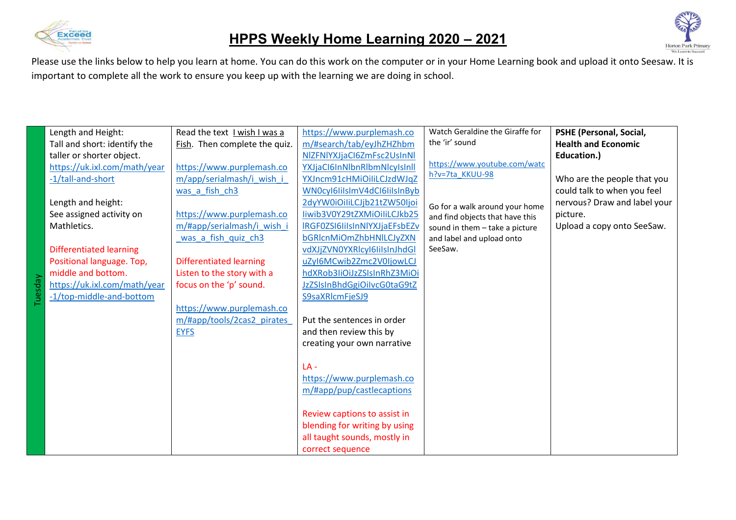



|                          | Length and Height:             | Read the text I wish I was a   | https://www.purplemash.co     | Watch Geraldine the Giraffe for | <b>PSHE (Personal, Social,</b> |
|--------------------------|--------------------------------|--------------------------------|-------------------------------|---------------------------------|--------------------------------|
|                          | Tall and short: identify the   | Fish. Then complete the quiz.  | m/#search/tab/eyJhZHZhbm      | the 'ir' sound                  | <b>Health and Economic</b>     |
|                          | taller or shorter object.      |                                | NIZFNIYXJjaCI6ZmFsc2UsInNI    |                                 | Education.)                    |
|                          | https://uk.ixl.com/math/year   | https://www.purplemash.co      | YXJjaCl6InNlbnRlbmNlcyIsInll  | https://www.youtube.com/watc    |                                |
|                          | -1/tall-and-short              | m/app/serialmash/i wish i      | YXJncm91cHMiOiliLCJzdWJqZ     | h?v=7ta KKUU-98                 | Who are the people that you    |
|                          |                                | was a fish ch3                 | WN0cyl6lilsImV4dCl6lilsInByb  |                                 | could talk to when you feel    |
|                          | Length and height:             |                                | 2dyYW0iOiliLCJjb21tZW50Ijoi   | Go for a walk around your home  | nervous? Draw and label your   |
|                          | See assigned activity on       | https://www.purplemash.co      | liwib3V0Y29tZXMiOiliLCJkb25   | and find objects that have this | picture.                       |
|                          | Mathletics.                    | m/#app/serialmash/i wish i     | IRGF0ZSI6IiIsInNlYXJjaEFsbEZv | sound in them - take a picture  | Upload a copy onto SeeSaw.     |
|                          |                                | was a fish quiz ch3            | bGRIcnMiOmZhbHNILCJyZXN       | and label and upload onto       |                                |
|                          | <b>Differentiated learning</b> |                                | vdXJjZVN0YXRlcyI6IiIsInJhdGl  | SeeSaw.                         |                                |
|                          | Positional language. Top,      | <b>Differentiated learning</b> | uZyI6MCwib2Zmc2V0IjowLCJ      |                                 |                                |
|                          | middle and bottom.             | Listen to the story with a     | hdXRob3liOiJzZSIsInRhZ3MiOi   |                                 |                                |
| $\overline{\mathsf{da}}$ | https://uk.ixl.com/math/year   | focus on the 'p' sound.        | JzZSIsInBhdGgiOilvcG0taG9tZ   |                                 |                                |
|                          | -1/top-middle-and-bottom       |                                | S9saXRlcmFjeSJ9               |                                 |                                |
|                          |                                | https://www.purplemash.co      |                               |                                 |                                |
|                          |                                | m/#app/tools/2cas2 pirates     | Put the sentences in order    |                                 |                                |
|                          |                                | <b>EYFS</b>                    | and then review this by       |                                 |                                |
|                          |                                |                                | creating your own narrative   |                                 |                                |
|                          |                                |                                |                               |                                 |                                |
|                          |                                |                                | $LA -$                        |                                 |                                |
|                          |                                |                                | https://www.purplemash.co     |                                 |                                |
|                          |                                |                                | m/#app/pup/castlecaptions     |                                 |                                |
|                          |                                |                                |                               |                                 |                                |
|                          |                                |                                | Review captions to assist in  |                                 |                                |
|                          |                                |                                | blending for writing by using |                                 |                                |
|                          |                                |                                | all taught sounds, mostly in  |                                 |                                |
|                          |                                |                                | correct sequence              |                                 |                                |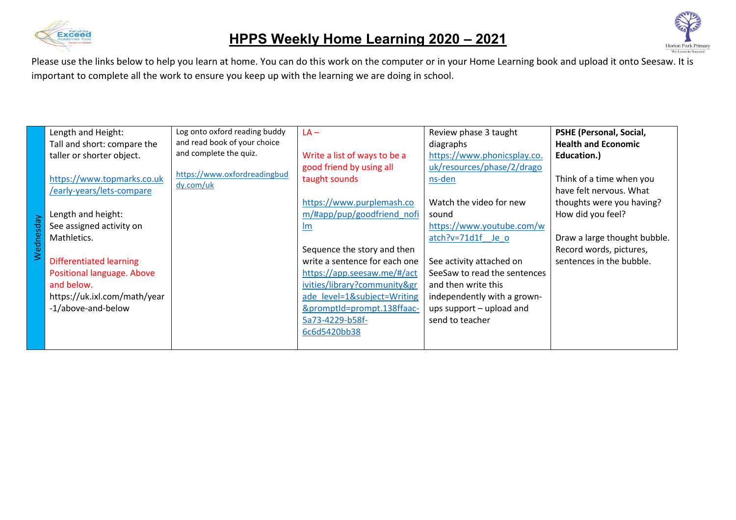



|           | Length and Height:             | Log onto oxford reading buddy | $LA -$                        | Review phase 3 taught        | <b>PSHE (Personal, Social,</b> |
|-----------|--------------------------------|-------------------------------|-------------------------------|------------------------------|--------------------------------|
|           | Tall and short: compare the    | and read book of your choice  |                               | diagraphs                    | <b>Health and Economic</b>     |
|           | taller or shorter object.      | and complete the quiz.        | Write a list of ways to be a  | https://www.phonicsplay.co.  | Education.)                    |
|           |                                |                               | good friend by using all      | uk/resources/phase/2/drago   |                                |
|           | https://www.topmarks.co.uk     | https://www.oxfordreadingbud  | taught sounds                 | ns-den                       | Think of a time when you       |
|           | /early-years/lets-compare      | dy.com/uk                     |                               |                              | have felt nervous. What        |
|           |                                |                               | https://www.purplemash.co     | Watch the video for new      | thoughts were you having?      |
|           | Length and height:             |                               | m/#app/pup/goodfriend nofi    | sound                        | How did you feel?              |
| Wednesday | See assigned activity on       |                               | <b>Im</b>                     | https://www.youtube.com/w    |                                |
|           | Mathletics.                    |                               |                               | $atch?v=71d1f$ Je o          | Draw a large thought bubble.   |
|           |                                |                               | Sequence the story and then   |                              | Record words, pictures,        |
|           | <b>Differentiated learning</b> |                               | write a sentence for each one | See activity attached on     | sentences in the bubble.       |
|           | Positional language. Above     |                               | https://app.seesaw.me/#/act   | SeeSaw to read the sentences |                                |
|           | and below.                     |                               | ivities/library?community&gr  | and then write this          |                                |
|           | https://uk.ixl.com/math/year   |                               | ade level=1&subject=Writing   | independently with a grown-  |                                |
|           | -1/above-and-below             |                               | &promptId=prompt.138ffaac-    | ups support – upload and     |                                |
|           |                                |                               | 5a73-4229-b58f-               | send to teacher              |                                |
|           |                                |                               | 6c6d5420bb38                  |                              |                                |
|           |                                |                               |                               |                              |                                |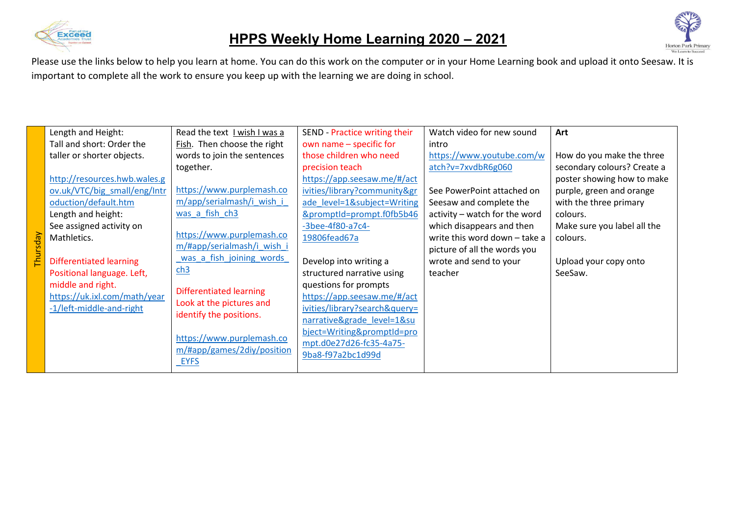



|          | Length and Height:           | Read the text I wish I was a                                                       | SEND - Practice writing their | Watch video for new sound     | Art                         |
|----------|------------------------------|------------------------------------------------------------------------------------|-------------------------------|-------------------------------|-----------------------------|
|          | Tall and short: Order the    | Fish. Then choose the right                                                        | own name - specific for       | intro                         |                             |
|          | taller or shorter objects.   | words to join the sentences                                                        | those children who need       | https://www.youtube.com/w     | How do you make the three   |
|          |                              | together.                                                                          | precision teach               | atch?v=7xvdbR6g060            | secondary colours? Create a |
|          | http://resources.hwb.wales.g |                                                                                    | https://app.seesaw.me/#/act   |                               | poster showing how to make  |
|          | ov.uk/VTC/big small/eng/Intr | https://www.purplemash.co                                                          | ivities/library?community&gr  | See PowerPoint attached on    | purple, green and orange    |
|          | oduction/default.htm         | m/app/serialmash/i wish i                                                          | ade_level=1&subject=Writing   | Seesaw and complete the       | with the three primary      |
|          | Length and height:           | was a fish ch3                                                                     | &promptId=prompt.f0fb5b46     | activity - watch for the word | colours.                    |
|          | See assigned activity on     |                                                                                    | $-3$ bee $-4f80$ $- a7c4$ $-$ | which disappears and then     | Make sure you label all the |
| Thursday | Mathletics.                  | https://www.purplemash.co                                                          | 19806fead67a                  | write this word down - take a | colours.                    |
|          |                              | m/#app/serialmash/i wish i                                                         |                               | picture of all the words you  |                             |
|          | Differentiated learning      | was a fish joining words                                                           | Develop into writing a        | wrote and send to your        | Upload your copy onto       |
|          | Positional language. Left,   | ch3                                                                                | structured narrative using    | teacher                       | SeeSaw.                     |
|          | middle and right.            | <b>Differentiated learning</b>                                                     | questions for prompts         |                               |                             |
|          | https://uk.ixl.com/math/year | Look at the pictures and                                                           | https://app.seesaw.me/#/act   |                               |                             |
|          | -1/left-middle-and-right     | identify the positions.<br>https://www.purplemash.co<br>m/#app/games/2diy/position | ivities/library?search&query= |                               |                             |
|          |                              |                                                                                    | narrative&grade level=1&su    |                               |                             |
|          |                              |                                                                                    | bject=Writing&promptId=pro    |                               |                             |
|          |                              |                                                                                    | mpt.d0e27d26-fc35-4a75-       |                               |                             |
|          |                              | <b>EYFS</b>                                                                        | 9ba8-f97a2bc1d99d             |                               |                             |
|          |                              |                                                                                    |                               |                               |                             |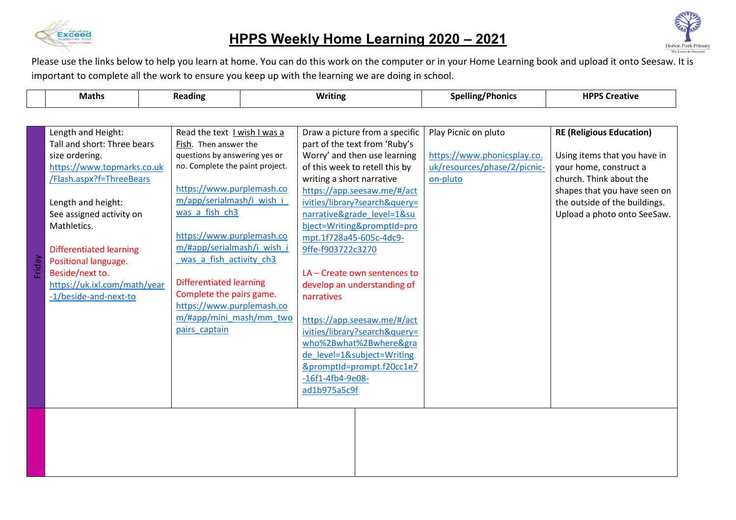

## **HPPS Weekly Home Learning 2020 – 2021**



|        | <b>Maths</b>                                                                                                                                                                                                                                                                                                                         |  | <b>Reading</b>                                                                                                                                                                                                                                                                                                                                                                                                                     | <b>Writing</b> |                                                                                                                               |                                                                                                                                                                                                                                                                                                                                                                                                                                                                                   | <b>Spelling/Phonics</b>                                                                         | <b>HPPS Creative</b>                                                                                                                                                                                                 |
|--------|--------------------------------------------------------------------------------------------------------------------------------------------------------------------------------------------------------------------------------------------------------------------------------------------------------------------------------------|--|------------------------------------------------------------------------------------------------------------------------------------------------------------------------------------------------------------------------------------------------------------------------------------------------------------------------------------------------------------------------------------------------------------------------------------|----------------|-------------------------------------------------------------------------------------------------------------------------------|-----------------------------------------------------------------------------------------------------------------------------------------------------------------------------------------------------------------------------------------------------------------------------------------------------------------------------------------------------------------------------------------------------------------------------------------------------------------------------------|-------------------------------------------------------------------------------------------------|----------------------------------------------------------------------------------------------------------------------------------------------------------------------------------------------------------------------|
|        |                                                                                                                                                                                                                                                                                                                                      |  |                                                                                                                                                                                                                                                                                                                                                                                                                                    |                |                                                                                                                               |                                                                                                                                                                                                                                                                                                                                                                                                                                                                                   |                                                                                                 |                                                                                                                                                                                                                      |
| Friday | Length and Height:<br>Tall and short: Three bears<br>size ordering.<br>https://www.topmarks.co.uk<br>/Flash.aspx?f=ThreeBears<br>Length and height:<br>See assigned activity on<br>Mathletics.<br><b>Differentiated learning</b><br>Positional language.<br>Beside/next to.<br>https://uk.ixl.com/math/year<br>-1/beside-and-next-to |  | Read the text I wish I was a<br>Fish. Then answer the<br>questions by answering yes or<br>no. Complete the paint project.<br>https://www.purplemash.co<br>m/app/serialmash/i wish i<br>was a fish ch3<br>https://www.purplemash.co<br>m/#app/serialmash/i wish i<br>was a fish activity ch3<br><b>Differentiated learning</b><br>Complete the pairs game.<br>https://www.purplemash.co<br>m/#app/mini mash/mm two<br>pairs captain |                | writing a short narrative<br>mpt.1f728a45-605c-4dc9-<br>9ffe-f903722c3270<br>narratives<br>$-16f1-4fb4-9e08-$<br>ad1b975a5c9f | Draw a picture from a specific<br>part of the text from 'Ruby's<br>Worry' and then use learning<br>of this week to retell this by<br>https://app.seesaw.me/#/act<br>ivities/library?search&query=<br>narrative&grade level=1&su<br>bject=Writing&promptId=pro<br>LA - Create own sentences to<br>develop an understanding of<br>https://app.seesaw.me/#/act<br>ivities/library?search&query=<br>who%2Bwhat%2Bwhere&gra<br>de level=1&subject=Writing<br>&promptId=prompt.f20cc1e7 | Play Picnic on pluto<br>https://www.phonicsplay.co.<br>uk/resources/phase/2/picnic-<br>on-pluto | <b>RE (Religious Education)</b><br>Using items that you have in<br>your home, construct a<br>church. Think about the<br>shapes that you have seen on<br>the outside of the buildings.<br>Upload a photo onto SeeSaw. |
|        |                                                                                                                                                                                                                                                                                                                                      |  |                                                                                                                                                                                                                                                                                                                                                                                                                                    |                |                                                                                                                               |                                                                                                                                                                                                                                                                                                                                                                                                                                                                                   |                                                                                                 |                                                                                                                                                                                                                      |
|        |                                                                                                                                                                                                                                                                                                                                      |  |                                                                                                                                                                                                                                                                                                                                                                                                                                    |                |                                                                                                                               |                                                                                                                                                                                                                                                                                                                                                                                                                                                                                   |                                                                                                 |                                                                                                                                                                                                                      |
|        |                                                                                                                                                                                                                                                                                                                                      |  |                                                                                                                                                                                                                                                                                                                                                                                                                                    |                |                                                                                                                               |                                                                                                                                                                                                                                                                                                                                                                                                                                                                                   |                                                                                                 |                                                                                                                                                                                                                      |